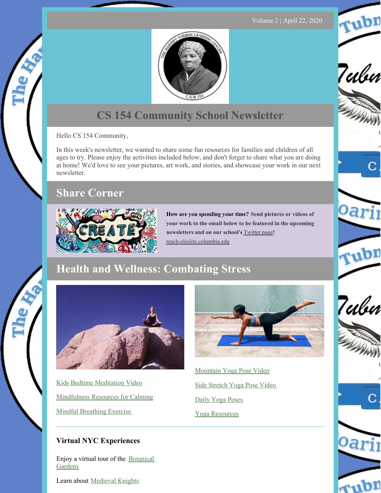Volume 2 | April 22, 2020

Tubn

7ubn

Oari

rubn

Tubn

rubr



# **CS 154 Community School Newsletter**

Hello CS 154 Community,

In this week's newsletter, we wanted to share some fun resources for families and children of all ages to try. Please enjoy the activities included below, and don't forget to share what you are doing at home! We'd love to see your pictures, art work, and stories, and showcase your work in our next newsletter.

### **Share Corner**



**How are you spending your time? Send pictures or videos of your work to the email below to be featured in the upcoming newsletters and on our school's** [Twitter](https://twitter.com/htlc154) page**!** [reach-elo@tc.columbia.edu](mailto:reach-elo@tc.columbia.edu)

## **Health and Wellness: Combating Stress**



Kids Bedtime [Meditation](https://drive.google.com/file/d/1keCIF0g3nsONIK7x2r1NC-QHDHZMYcf9/view?usp=sharing) Video [Mindfulness](https://drive.google.com/file/d/1c7gPUPaR9z1HwBXHmlK2CRS6MgOPSroS/view?usp=sharing) Resources for Calming Mindful [Breathing](https://drive.google.com/file/d/1svZAjiAMWO4hisEycwWwHx9pH6upHO_v/view?usp=sharing) Exercise



[Mountain](https://drive.google.com/open?id=1a6byK3ax6503OZYjsE2QwS_jSzTpDUHY) Yoga Pose Video Side [Stretch](https://drive.google.com/open?id=1b_MoeRlVSzuzW36BaLxB-hNJf-KvDA6Z) Yoga Pose Video Daily Yoga [Poses](https://drive.google.com/open?id=1NhERtlqDmspfDEMs02b42GKHkbF8GOOd) Yoga [Resources](https://drive.google.com/open?id=19N2YV57REqbr_jADLOfxY_wEMrF4UW8y)

#### **Virtual NYC Experiences**

Enjoy a virtual tour of the [Botanical](https://www.nybg.org/take-a-virtual-tour-of-the-orchid-show-jeff-leathams-kaleidoscope/) Gardens

Learn about [Medieval](https://www.metmuseum.org/blogs/metkids/2019/knights-tournaments-medieval-europe) Knights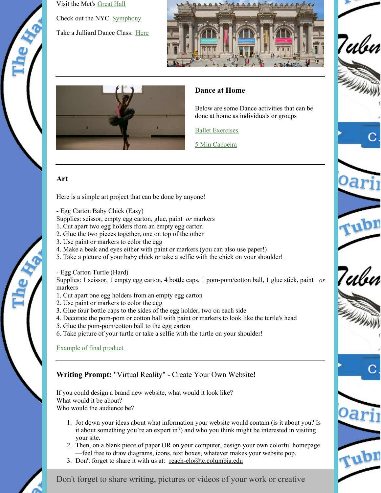

Visit the Met's [Great](https://www.youtube.com/watch?v=OTsqUNGFYlM) Hall Check out the NYC [Symphony](https://www.nbcnewyork.com/news/local/watch-71-members-of-ny-symphony-are-conducted-remotely-amid-covid-19-cancelation/2347722/) Take a Julliard Dance Class: [Here](https://www.instagram.com/tv/B9y06YtjVDD/?igshid=11lsv2021ibah)



7ubn

'pr

7ulu

rubn



#### **Dance at Home**

Below are some Dance activities that can be done at home as individuals or groups

Ballet [Exercises](https://drive.google.com/file/d/17eTuMhbq4S66zCjeXgDYLMYE9SZmk3BU/view?usp=sharing)

5 Min [Capoeira](https://drive.google.com/file/d/1KOgS-iL2cPII3BBM-LPSsIu9akftNggr/view?usp=sharing)

#### **Art**

Here is a simple art project that can be done by anyone!

- Egg Carton Baby Chick (Easy)

Supplies: scissor, empty egg carton, glue, paint *or* markers

- 1. Cut apart two egg holders from an empty egg carton
- 2. Glue the two pieces together, one on top of the other
- 3. Use paint or markers to color the egg
- 4. Make a beak and eyes either with paint or markers (you can also use paper!)
- 5. Take a picture of your baby chick or take a selfie with the chick on your shoulder!

- Egg Carton Turtle (Hard)

Supplies: 1 scissor, 1 empty egg carton, 4 bottle caps, 1 pom-pom/cotton ball, 1 glue stick, paint *or* markers

- 1. Cut apart one egg holders from an empty egg carton
- 2. Use paint or markers to color the egg
- 3. Glue four bottle caps to the sides of the egg holder, two on each side
- 4. Decorate the pom-pom or cotton ball with paint or markers to look like the turtle's head
- 5. Glue the pom-pom/cotton ball to the egg carton
- 6. Take picture of your turtle or take a selfie with the turtle on your shoulder!

#### [Example](https://drive.google.com/file/d/1qX1mZdpe4EQ66aVkVNJ06EJrtcD9gG1U/view?usp=sharing) of final product

#### **Writing Prompt:** "Virtual Reality" - Create Your Own Website!

If you could design a brand new website, what would it look like? What would it be about? Who would the audience be?

- 1. Jot down your ideas about what information your website would contain (is it about you? Is it about something you're an expert in?) and who you think might be interested in visiting your site.
- 2. Then, on a blank piece of paper OR on your computer, design your own colorful homepage —feel free to draw diagrams, icons, text boxes, whatever makes your website pop.
- 3. Don't forget to share it with us at: [reach-elo@tc.columbia.edu](mailto:reach-elo@tc.columbia.edu)



Don't forget to share writing, pictures or videos of your work or creative